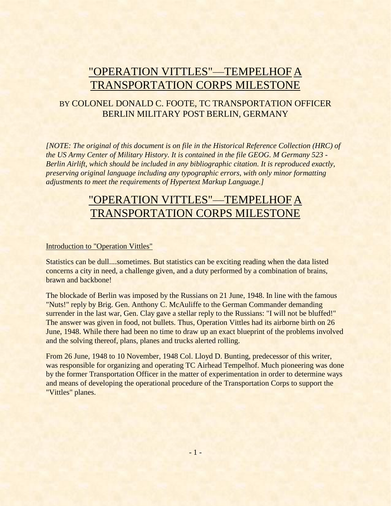# "OPERATION VITTLES"—TEMPELHOF A TRANSPORTATION CORPS MILESTONE

## BY COLONEL DONALD C. FOOTE, TC TRANSPORTATION OFFICER BERLIN MILITARY POST BERLIN, GERMANY

*[NOTE: The original of this document is on file in the Historical Reference Collection (HRC) of the US Army Center of Military History. It is contained in the file GEOG. M Germany 523 - Berlin Airlift, which should be included in any bibliographic citation. It is reproduced exactly, preserving original language including any typographic errors, with only minor formatting adjustments to meet the requirements of Hypertext Markup Language.]*

# "OPERATION VITTLES"—TEMPELHOF A TRANSPORTATION CORPS MILESTONE

#### Introduction to "Operation Vittles"

Statistics can be dull....sometimes. But statistics can be exciting reading when the data listed concerns a city in need, a challenge given, and a duty performed by a combination of brains, brawn and backbone!

The blockade of Berlin was imposed by the Russians on 21 June, 1948. In line with the famous "Nuts!" reply by Brig. Gen. Anthony C. McAuliffe to the German Commander demanding surrender in the last war, Gen. Clay gave a stellar reply to the Russians: "I will not be bluffed!" The answer was given in food, not bullets. Thus, Operation Vittles had its airborne birth on 26 June, 1948. While there had been no time to draw up an exact blueprint of the problems involved and the solving thereof, plans, planes and trucks alerted rolling.

From 26 June, 1948 to 10 November, 1948 Col. Lloyd D. Bunting, predecessor of this writer, was responsible for organizing and operating TC Airhead Tempelhof. Much pioneering was done by the former Transportation Officer in the matter of experimentation in order to determine ways and means of developing the operational procedure of the Transportation Corps to support the "Vittles" planes.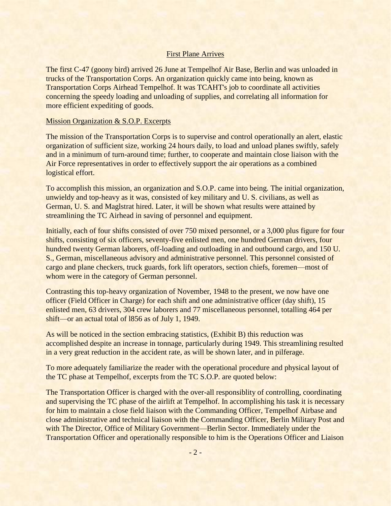#### First Plane Arrives

The first C-47 (goony bird) arrived 26 June at Tempelhof Air Base, Berlin and was unloaded in trucks of the Transportation Corps. An organization quickly came into being, known as Transportation Corps Airhead Tempelhof. It was TCAHT's job to coordinate all activities concerning the speedy loading and unloading of supplies, and correlating all information for more efficient expediting of goods.

#### Mission Organization & S.O.P. Excerpts

The mission of the Transportation Corps is to supervise and control operationally an alert, elastic organization of sufficient size, working 24 hours daily, to load and unload planes swiftly, safely and in a minimum of turn-around time; further, to cooperate and maintain close liaison with the Air Force representatives in order to effectively support the air operations as a combined logistical effort.

To accomplish this mission, an organization and S.O.P. came into being. The initial organization, unwieldy and top-heavy as it was, consisted of key military and U. S. civilians, as well as German, U. S. and Maglstrat hired. Later, it will be shown what results were attained by streamlining the TC Airhead in saving of personnel and equipment.

Initially, each of four shifts consisted of over 750 mixed personnel, or a 3,000 plus figure for four shifts, consisting of six officers, seventy-five enlisted men, one hundred German drivers, four hundred twenty German laborers, off-loading and outloading in and outbound cargo, and 150 U. S., German, miscellaneous advisory and administrative personnel. This personnel consisted of cargo and plane checkers, truck guards, fork lift operators, section chiefs, foremen—most of whom were in the category of German personnel.

Contrasting this top-heavy organization of November, 1948 to the present, we now have one officer (Field Officer in Charge) for each shift and one administrative officer (day shift), 15 enlisted men, 63 drivers, 304 crew laborers and 77 miscellaneous personnel, totalling 464 per shift—or an actual total of l856 as of July 1, 1949.

As will be noticed in the section embracing statistics, (Exhibit B) this reduction was accomplished despite an increase in tonnage, particularly during 1949. This streamlining resulted in a very great reduction in the accident rate, as will be shown later, and in pilferage.

To more adequately familiarize the reader with the operational procedure and physical layout of the TC phase at Tempelhof, excerpts from the TC S.O.P. are quoted below:

The Transportation Officer is charged with the over-all responsiblity of controlling, coordinating and supervising the TC phase of the airlift at Tempelhof. In accomplishing his task it is necessary for him to maintain a close field liaison with the Commanding Officer, Tempelhof Airbase and close administrative and technical liaison with the Commanding Officer, Berlin Military Post and with The Director, Office of Military Government—Berlin Sector. Immediately under the Transportation Officer and operationally responsible to him is the Operations Officer and Liaison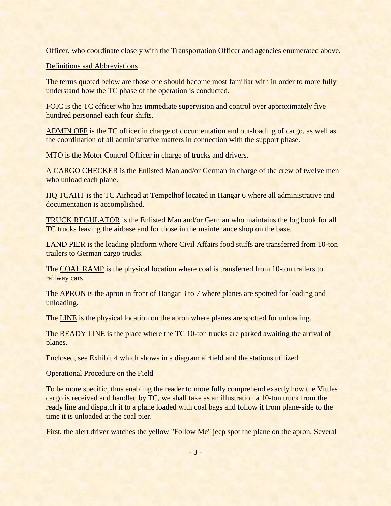Officer, who coordinate closely with the Transportation Officer and agencies enumerated above.

#### Definitions sad Abbreviations

The terms quoted below are those one should become most familiar with in order to more fully understand how the TC phase of the operation is conducted.

FOIC is the TC officer who has immediate supervision and control over approximately five hundred personnel each four shifts.

ADMIN OFF is the TC officer in charge of documentation and out-loading of cargo, as well as the coordination of all administrative matters in connection with the support phase.

MTO is the Motor Control Officer in charge of trucks and drivers.

A CARGO CHECKER is the Enlisted Man and/or German in charge of the crew of twelve men who unload each plane.

HQ TCAHT is the TC Airhead at Tempelhof located in Hangar 6 where all administrative and documentation is accomplished.

TRUCK REGULATOR is the Enlisted Man and/or German who maintains the log book for all TC trucks leaving the airbase and for those in the maintenance shop on the base.

LAND PIER is the loading platform where Civil Affairs food stuffs are transferred from 10-ton trailers to German cargo trucks.

The COAL RAMP is the physical location where coal is transferred from 10-ton trailers to railway cars.

The **APRON** is the apron in front of Hangar 3 to 7 where planes are spotted for loading and unloading.

The LINE is the physical location on the apron where planes are spotted for unloading.

The READY LINE is the place where the TC 10-ton trucks are parked awaiting the arrival of planes.

Enclosed, see Exhibit 4 which shows in a diagram airfield and the stations utilized.

#### Operational Procedure on the Field

To be more specific, thus enabling the reader to more fully comprehend exactly how the Vittles cargo is received and handled by TC, we shall take as an illustration a 10-ton truck from the ready line and dispatch it to a plane loaded with coal bags and follow it from plane-side to the time it is unloaded at the coal pier.

First, the alert driver watches the yellow "Follow Me" jeep spot the plane on the apron. Several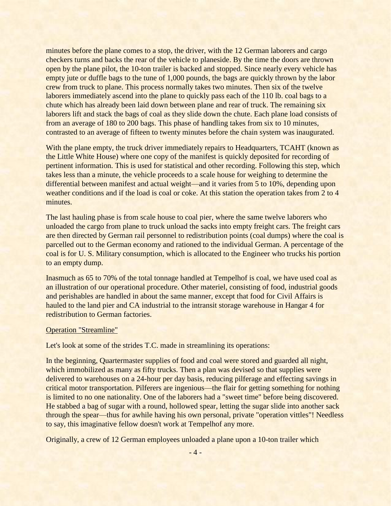minutes before the plane comes to a stop, the driver, with the 12 German laborers and cargo checkers turns and backs the rear of the vehicle to planeside. By the time the doors are thrown open by the plane pilot, the 10-ton trailer is backed and stopped. Since nearly every vehicle has empty jute or duffle bags to the tune of 1,000 pounds, the bags are quickly thrown by the labor crew from truck to plane. This process normally takes two minutes. Then six of the twelve laborers immediately ascend into the plane to quickly pass each of the 110 lb. coal bags to a chute which has already been laid down between plane and rear of truck. The remaining six laborers lift and stack the bags of coal as they slide down the chute. Each plane load consists of from an average of 180 to 200 bags. This phase of handling takes from six to 10 minutes, contrasted to an average of fifteen to twenty minutes before the chain system was inaugurated.

With the plane empty, the truck driver immediately repairs to Headquarters, TCAHT (known as the Little White House) where one copy of the manifest is quickly deposited for recording of pertinent information. This is used for statistical and other recording. Following this step, which takes less than a minute, the vehicle proceeds to a scale house for weighing to determine the differential between manifest and actual weight—and it varies from 5 to 10%, depending upon weather conditions and if the load is coal or coke. At this station the operation takes from 2 to 4 minutes.

The last hauling phase is from scale house to coal pier, where the same twelve laborers who unloaded the cargo from plane to truck unload the sacks into empty freight cars. The freight cars are then directed by German rail personnel to redistribution points (coal dumps) where the coal is parcelled out to the German economy and rationed to the individual German. A percentage of the coal is for U. S. Military consumption, which is allocated to the Engineer who trucks his portion to an empty dump.

Inasmuch as 65 to 70% of the total tonnage handled at Tempelhof is coal, we have used coal as an illustration of our operational procedure. Other materiel, consisting of food, industrial goods and perishables are handled in about the same manner, except that food for Civil Affairs is hauled to the land pier and CA industrial to the intransit storage warehouse in Hangar 4 for redistribution to German factories.

#### Operation "Streamline"

Let's look at some of the strides T.C. made in streamlining its operations:

In the beginning, Quartermaster supplies of food and coal were stored and guarded all night, which immobilized as many as fifty trucks. Then a plan was devised so that supplies were delivered to warehouses on a 24-hour per day basis, reducing pilferage and effecting savings in critical motor transportation. Pilferers are ingenious—the flair for getting something for nothing is limited to no one nationality. One of the laborers had a "sweet time" before being discovered. He stabbed a bag of sugar with a round, hollowed spear, letting the sugar slide into another sack through the spear—thus for awhile having his own personal, private "operation vittles"! Needless to say, this imaginative fellow doesn't work at Tempelhof any more.

Originally, a crew of 12 German employees unloaded a plane upon a 10-ton trailer which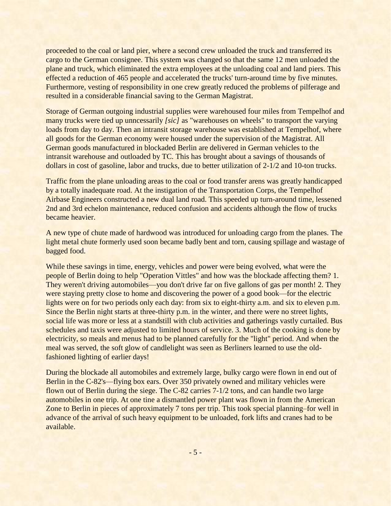proceeded to the coal or land pier, where a second crew unloaded the truck and transferred its cargo to the German consignee. This system was changed so that the same 12 men unloaded the plane and truck, which eliminated the extra employees at the unloading coal and land piers. This effected a reduction of 465 people and accelerated the trucks' turn-around time by five minutes. Furthermore, vesting of responsibility in one crew greatly reduced the problems of pilferage and resulted in a considerable financial saving to the German Magistrat.

Storage of German outgoing industrial supplies were warehoused four miles from Tempelhof and many trucks were tied up unncessarily *[sic]* as "warehouses on wheels" to transport the varying loads from day to day. Then an intransit storage warehouse was established at Tempelhof, where all goods for the German economy were housed under the supervision of the Magistrat. All German goods manufactured in blockaded Berlin are delivered in German vehicles to the intransit warehouse and outloaded by TC. This has brought about a savings of thousands of dollars in cost of gasoline, labor and trucks, due to better utilization of 2-1/2 and 10-ton trucks.

Traffic from the plane unloading areas to the coal or food transfer arens was greatly handicapped by a totally inadequate road. At the instigation of the Transportation Corps, the Tempelhof Airbase Engineers constructed a new dual land road. This speeded up turn-around time, lessened 2nd and 3rd echelon maintenance, reduced confusion and accidents although the flow of trucks became heavier.

A new type of chute made of hardwood was introduced for unloading cargo from the planes. The light metal chute formerly used soon became badly bent and torn, causing spillage and wastage of bagged food.

While these savings in time, energy, vehicles and power were being evolved, what were the people of Berlin doing to help "Operation Vittles" and how was the blockade affecting them? 1. They weren't driving automobiles—you don't drive far on five gallons of gas per month! 2. They were staying pretty close to home and discovering the power of a good book—for the electric lights were on for two periods only each day: from six to eight-thirty a.m. and six to eleven p.m. Since the Berlin night starts at three-thirty p.m. in the winter, and there were no street lights, social life was more or less at a standstill with club activities and gatherings vastly curtailed. Bus schedules and taxis were adjusted to limited hours of service. 3. Much of the cooking is done by electricity, so meals and menus had to be planned carefully for the "light" period. And when the meal was served, the soft glow of candlelight was seen as Berliners learned to use the oldfashioned lighting of earlier days!

During the blockade all automobiles and extremely large, bulky cargo were flown in end out of Berlin in the C-82's—flying box ears. Over 350 privately owned and military vehicles were flown out of Berlin during the siege. The C-82 carries 7-1/2 tons, and can handle two large automobiles in one trip. At one tine a dismantled power plant was flown in from the American Zone to Berlin in pieces of approximately 7 tons per trip. This took special planning–for well in advance of the arrival of such heavy equipment to be unloaded, fork lifts and cranes had to be available.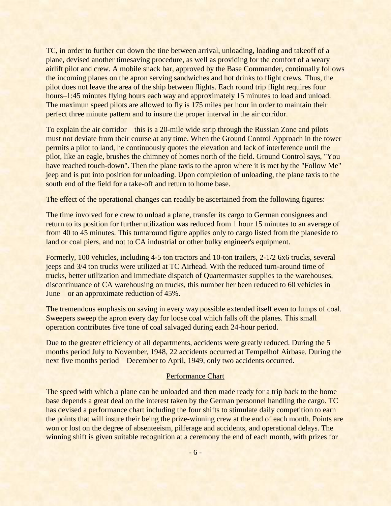TC, in order to further cut down the tine between arrival, unloading, loading and takeoff of a plane, devised another timesaving procedure, as well as providing for the comfort of a weary airlift pilot and crew. A mobile snack bar, approved by the Base Commander, continually follows the incoming planes on the apron serving sandwiches and hot drinks to flight crews. Thus, the pilot does not leave the area of the ship between flights. Each round trip flight requires four hours–1:45 minutes flying hours each way and approximately 15 minutes to load and unload. The maximun speed pilots are allowed to fly is 175 miles per hour in order to maintain their perfect three minute pattern and to insure the proper interval in the air corridor.

To explain the air corridor—this is a 20-mile wide strip through the Russian Zone and pilots must not deviate from their course at any time. When the Ground Control Approach in the tower permits a pilot to land, he continuously quotes the elevation and lack of interference until the pilot, like an eagle, brushes the chimney of homes north of the field. Ground Control says, "You have reached touch-down". Then the plane taxis to the apron where it is met by the "Follow Me" jeep and is put into position for unloading. Upon completion of unloading, the plane taxis to the south end of the field for a take-off and return to home base.

The effect of the operational changes can readily be ascertained from the following figures:

The time involved for e crew to unload a plane, transfer its cargo to German consignees and return to its position for further utilization was reduced from 1 hour 15 minutes to an average of from 40 to 45 minutes. This turnaround figure applies only to cargo listed from the planeside to land or coal piers, and not to CA industrial or other bulky engineer's equipment.

Formerly, 100 vehicles, including 4-5 ton tractors and 10-ton trailers, 2-1/2 6x6 trucks, several jeeps and 3/4 ton trucks were utilized at TC Airhead. With the reduced turn-around time of trucks, better utilization and immediate dispatch of Quartermaster supplies to the warehouses, discontinuance of CA warehousing on trucks, this number her been reduced to 60 vehicles in June—or an approximate reduction of 45%.

The tremendous emphasis on saving in every way possible extended itself even to lumps of coal. Sweepers sweep the apron every day for loose coal which falls off the planes. This small operation contributes five tone of coal salvaged during each 24-hour period.

Due to the greater efficiency of all departments, accidents were greatly reduced. During the 5 months period July to November, 1948, 22 accidents occurred at Tempelhof Airbase. During the next five months period—December to April, 1949, only two accidents occurred.

#### Performance Chart

The speed with which a plane can be unloaded and then made ready for a trip back to the home base depends a great deal on the interest taken by the German personnel handling the cargo. TC has devised a performance chart including the four shifts to stimulate daily competition to earn the points that will insure their being the prize-winning crew at the end of each month. Points are won or lost on the degree of absenteeism, pilferage and accidents, and operational delays. The winning shift is given suitable recognition at a ceremony the end of each month, with prizes for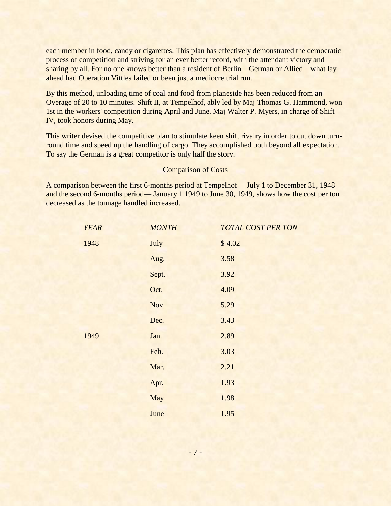each member in food, candy or cigarettes. This plan has effectively demonstrated the democratic process of competition and striving for an ever better record, with the attendant victory and sharing by all. For no one knows better than a resident of Berlin—German or Allied—what lay ahead had Operation Vittles failed or been just a mediocre trial run.

By this method, unloading time of coal and food from planeside has been reduced from an Overage of 20 to 10 minutes. Shift II, at Tempelhof, ably led by Maj Thomas G. Hammond, won 1st in the workers' competition during April and June. Maj Walter P. Myers, in charge of Shift IV, took honors during May.

This writer devised the competitive plan to stimulate keen shift rivalry in order to cut down turnround time and speed up the handling of cargo. They accomplished both beyond all expectation. To say the German is a great competitor is only half the story.

#### Comparison of Costs

A comparison between the first 6-months period at Tempelhof —July 1 to December 31, 1948 and the second 6-months period— January 1 1949 to June 30, 1949, shows how the cost per ton decreased as the tonnage handled increased.

| <b>YEAR</b> | <b>MONTH</b> | <b>TOTAL COST PER TON</b> |
|-------------|--------------|---------------------------|
| 1948        | July         | \$4.02                    |
|             | Aug.         | 3.58                      |
|             | Sept.        | 3.92                      |
|             | Oct.         | 4.09                      |
|             | Nov.         | 5.29                      |
|             | Dec.         | 3.43                      |
| 1949        | Jan.         | 2.89                      |
|             | Feb.         | 3.03                      |
|             | Mar.         | 2.21                      |
|             | Apr.         | 1.93                      |
|             | May          | 1.98                      |
|             | June         | 1.95                      |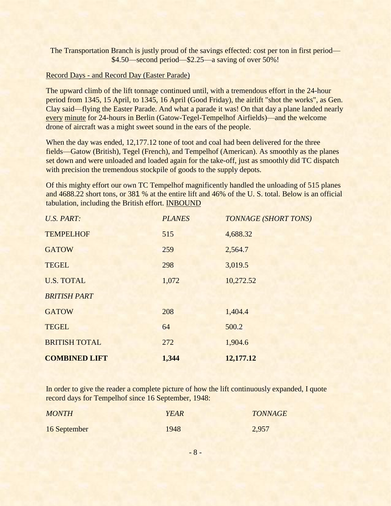The Transportation Branch is justly proud of the savings effected: cost per ton in first period— \$4.50—second period—\$2.25—a saving of over 50%!

#### Record Days - and Record Day (Easter Parade)

The upward climb of the lift tonnage continued until, with a tremendous effort in the 24-hour period from 1345, 15 April, to 1345, 16 April (Good Friday), the airlift "shot the works", as Gen. Clay said—flying the Easter Parade. And what a parade it was! On that day a plane landed nearly every minute for 24-hours in Berlin (Gatow-Tegel-Tempelhof Airfields)—and the welcome drone of aircraft was a might sweet sound in the ears of the people.

When the day was ended, 12,177.12 tone of toot and coal had been delivered for the three fields—Gatow (British), Tegel (French), and Tempelhof (American). As smoothly as the planes set down and were unloaded and loaded again for the take-off, just as smoothly did TC dispatch with precision the tremendous stockpile of goods to the supply depots.

Of this mighty effort our own TC Tempelhof magnificently handled the unloading of 515 planes and 4688.22 short tons, or 381 % at the entire lift and 46% of the U. S. total. Below is an official tabulation, including the British effort. INBOUND

| <b>U.S. PART:</b>    | <b>PLANES</b> | <b>TONNAGE (SHORT TONS)</b> |
|----------------------|---------------|-----------------------------|
| <b>TEMPELHOF</b>     | 515           | 4,688.32                    |
| <b>GATOW</b>         | 259           | 2,564.7                     |
| <b>TEGEL</b>         | 298           | 3,019.5                     |
| <b>U.S. TOTAL</b>    | 1,072         | 10,272.52                   |
| <b>BRITISH PART</b>  |               |                             |
| <b>GATOW</b>         | 208           | 1,404.4                     |
| <b>TEGEL</b>         | 64            | 500.2                       |
| <b>BRITISH TOTAL</b> | 272           | 1,904.6                     |
| <b>COMBINED LIFT</b> | 1,344         | 12,177.12                   |

In order to give the reader a complete picture of how the lift continuously expanded, I quote record days for Tempelhof since 16 September, 1948:

| <b>MONTH</b> | <b>YEAR</b> | <b>TONNAGE</b> |
|--------------|-------------|----------------|
| 16 September | 1948        | 2,957          |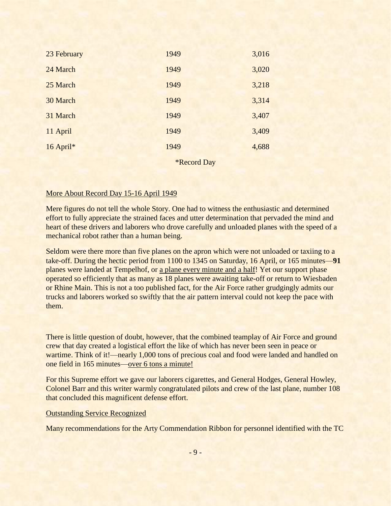| 23 February | 1949 | 3,016 |
|-------------|------|-------|
| 24 March    | 1949 | 3,020 |
| 25 March    | 1949 | 3,218 |
| 30 March    | 1949 | 3,314 |
| 31 March    | 1949 | 3,407 |
| 11 April    | 1949 | 3,409 |
| 16 April*   | 1949 | 4,688 |

\*Record Day

#### More About Record Day 15-16 April 1949

Mere figures do not tell the whole Story. One had to witness the enthusiastic and determined effort to fully appreciate the strained faces and utter determination that pervaded the mind and heart of these drivers and laborers who drove carefully and unloaded planes with the speed of a mechanical robot rather than a human being.

Seldom were there more than five planes on the apron which were not unloaded or taxiing to a take-off. During the hectic period from 1100 to 1345 on Saturday, 16 April, or 165 minutes—**91** planes were landed at Tempelhof, or a plane every minute and a half! Yet our support phase operated so efficiently that as many as 18 planes were awaiting take-off or return to Wiesbaden or Rhine Main. This is not a too published fact, for the Air Force rather grudgingly admits our trucks and laborers worked so swiftly that the air pattern interval could not keep the pace with them.

There is little question of doubt, however, that the combined teamplay of Air Force and ground crew that day created a logistical effort the like of which has never been seen in peace or wartime. Think of it!—nearly 1,000 tons of precious coal and food were landed and handled on one field in 165 minutes—over 6 tons a minute!

For this Supreme effort we gave our laborers cigarettes, and General Hodges, General Howley, Colonel Barr and this writer warmly congratulated pilots and crew of the last plane, number 108 that concluded this magnificent defense effort.

#### Outstanding Service Recognized

Many recommendations for the Arty Commendation Ribbon for personnel identified with the TC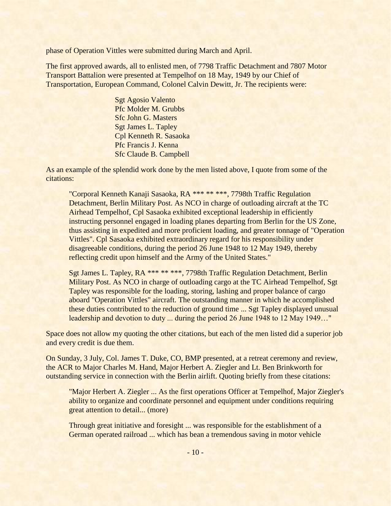phase of Operation Vittles were submitted during March and April.

The first approved awards, all to enlisted men, of 7798 Traffic Detachment and 7807 Motor Transport Battalion were presented at Tempelhof on 18 May, 1949 by our Chief of Transportation, European Command, Colonel Calvin Dewitt, Jr. The recipients were:

> Sgt Agosio Valento Pfc Molder M. Grubbs Sfc John G. Masters Sgt James L. Tapley Cpl Kenneth R. Sasaoka Pfc Francis J. Kenna Sfc Claude B. Campbell

As an example of the splendid work done by the men listed above, I quote from some of the citations:

"Corporal Kenneth Kanaji Sasaoka, RA \*\*\* \*\* \*\*\*, 7798th Traffic Regulation Detachment, Berlin Military Post. As NCO in charge of outloading aircraft at the TC Airhead Tempelhof, Cpl Sasaoka exhibited exceptional leadership in efficiently instructing personnel engaged in loading planes departing from Berlin for the US Zone, thus assisting in expedited and more proficient loading, and greater tonnage of "Operation Vittles". Cpl Sasaoka exhibited extraordinary regard for his responsibility under disagreeable conditions, during the period 26 June 1948 to 12 May 1949, thereby reflecting credit upon himself and the Army of the United States."

Sgt James L. Tapley, RA \*\*\* \*\* \*\*\*, 7798th Traffic Regulation Detachment, Berlin Military Post. As NCO in charge of outloading cargo at the TC Airhead Tempelhof, Sgt Tapley was responsible for the loading, storing, lashing and proper balance of cargo aboard "Operation Vittles" aircraft. The outstanding manner in which he accomplished these duties contributed to the reduction of ground time ... Sgt Tapley displayed unusual leadership and devotion to duty ... during the period 26 June 1948 to 12 May 1949…"

Space does not allow my quoting the other citations, but each of the men listed did a superior job and every credit is due them.

On Sunday, 3 July, Col. James T. Duke, CO, BMP presented, at a retreat ceremony and review, the ACR to Major Charles M. Hand, Major Herbert A. Ziegler and Lt. Ben Brinkworth for outstanding service in connection with the Berlin airlift. Quoting briefly from these citations:

"Major Herbert A. Ziegler ... As the first operations Officer at Tempelhof, Major Ziegler's ability to organize and coordinate personnel and equipment under conditions requiring great attention to detail... (more)

Through great initiative and foresight ... was responsible for the establishment of a German operated railroad ... which has bean a tremendous saving in motor vehicle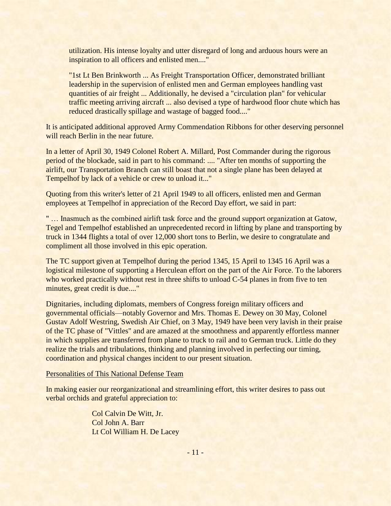utilization. His intense loyalty and utter disregard of long and arduous hours were an inspiration to all officers and enlisted men...."

"1st Lt Ben Brinkworth ... As Freight Transportation Officer, demonstrated brilliant leadership in the supervision of enlisted men and German employees handling vast quantities of air freight ... Additionally, he devised a "circulation plan" for vehicular traffic meeting arriving aircraft ... also devised a type of hardwood floor chute which has reduced drastically spillage and wastage of bagged food...."

It is anticipated additional approved Army Commendation Ribbons for other deserving personnel will reach Berlin in the near future.

In a letter of April 30, 1949 Colonel Robert A. Millard, Post Commander during the rigorous period of the blockade, said in part to his command: .... "After ten months of supporting the airlift, our Transportation Branch can still boast that not a single plane has been delayed at Tempelhof by lack of a vehicle or crew to unload it..."

Quoting from this writer's letter of 21 April 1949 to all officers, enlisted men and German employees at Tempelhof in appreciation of the Record Day effort, we said in part:

"... Inasmuch as the combined airlift task force and the ground support organization at Gatow, Tegel and Tempelhof established an unprecedented record in lifting by plane and transporting by truck in 1344 flights a total of over 12,000 short tons to Berlin, we desire to congratulate and compliment all those involved in this epic operation.

The TC support given at Tempelhof during the period 1345, 15 April to 1345 16 April was a logistical milestone of supporting a Herculean effort on the part of the Air Force. To the laborers who worked practically without rest in three shifts to unload C-54 planes in from five to ten minutes, great credit is due...."

Dignitaries, including diplomats, members of Congress foreign military officers and governmental officials—notably Governor and Mrs. Thomas E. Dewey on 30 May, Colonel Gustav Adolf Westring, Swedish Air Chief, on 3 May, 1949 have been very lavish in their praise of the TC phase of "Vittles" and are amazed at the smoothness and apparently effortless manner in which supplies are transferred from plane to truck to rail and to German truck. Little do they realize the trials and tribulations, thinking and planning involved in perfecting our timing, coordination and physical changes incident to our present situation.

#### Personalities of This National Defense Team

In making easier our reorganizational and streamlining effort, this writer desires to pass out verbal orchids and grateful appreciation to:

> Col Calvin De Witt, Jr. Col John A. Barr Lt Col William H. De Lacey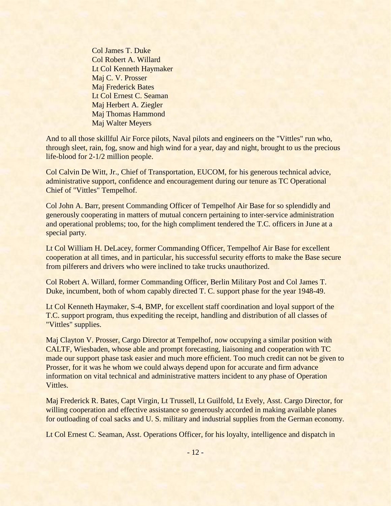Col James T. Duke Col Robert A. Willard Lt Col Kenneth Haymaker Maj C. V. Prosser Maj Frederick Bates Lt Col Ernest C. Seaman Maj Herbert A. Ziegler Maj Thomas Hammond Maj Walter Meyers

And to all those skillful Air Force pilots, Naval pilots and engineers on the "Vittles" run who, through sleet, rain, fog, snow and high wind for a year, day and night, brought to us the precious life-blood for 2-1/2 million people.

Col Calvin De Witt, Jr., Chief of Transportation, EUCOM, for his generous technical advice, administrative support, confidence and encouragement during our tenure as TC Operational Chief of "Vittles" Tempelhof.

Col John A. Barr, present Commanding Officer of Tempelhof Air Base for so splendidly and generously cooperating in matters of mutual concern pertaining to inter-service administration and operational problems; too, for the high compliment tendered the T.C. officers in June at a special party.

Lt Col William H. DeLacey, former Commanding Officer, Tempelhof Air Base for excellent cooperation at all times, and in particular, his successful security efforts to make the Base secure from pilferers and drivers who were inclined to take trucks unauthorized.

Col Robert A. Willard, former Commanding Officer, Berlin Military Post and Col James T. Duke, incumbent, both of whom capably directed T. C. support phase for the year 1948-49.

Lt Col Kenneth Haymaker, S-4, BMP, for excellent staff coordination and loyal support of the T.C. support program, thus expediting the receipt, handling and distribution of all classes of "Vittles" supplies.

Maj Clayton V. Prosser, Cargo Director at Tempelhof, now occupying a similar position with CALTF, Wiesbaden, whose able and prompt forecasting, liaisoning and cooperation with TC made our support phase task easier and much more efficient. Too much credit can not be given to Prosser, for it was he whom we could always depend upon for accurate and firm advance information on vital technical and administrative matters incident to any phase of Operation Vittles.

Maj Frederick R. Bates, Capt Virgin, Lt Trussell, Lt Guilfold, Lt Evely, Asst. Cargo Director, for willing cooperation and effective assistance so generously accorded in making available planes for outloading of coal sacks and U. S. military and industrial supplies from the German economy.

Lt Col Ernest C. Seaman, Asst. Operations Officer, for his loyalty, intelligence and dispatch in